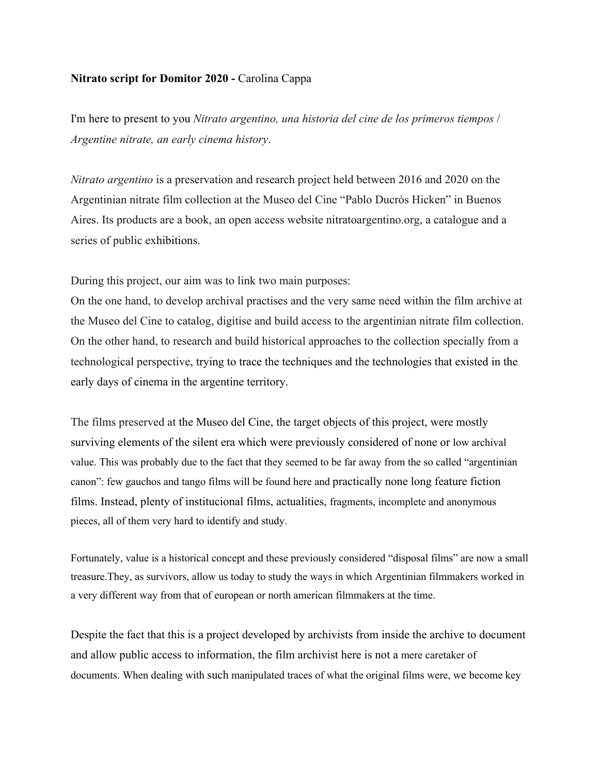## **Nitrato script for Domitor 2020 -** Carolina Cappa

I'm here to present to you *Nitrato argentino, una historia del cine de los primeros tiempos* / *Argentine nitrate, an early cinema history*.

*Nitrato argentino* is a preservation and research project held between 2016 and 2020 on the Argentinian nitrate film collection at the Museo del Cine "Pablo Ducrós Hicken" in Buenos Aires. Its products are a book, an open access website nitratoargentino.org, a catalogue and a series of public exhibitions.

During this project, our aim was to link two main purposes:

On the one hand, to develop archival practises and the very same need within the film archive at the Museo del Cine to catalog, digitise and build access to the argentinian nitrate film collection. On the other hand, to research and build historical approaches to the collection specially from a technological perspective, trying to trace the techniques and the technologies that existed in the early days of cinema in the argentine territory.

The films preserved at the Museo del Cine, the target objects of this project, were mostly surviving elements of the silent era which were previously considered of none or low archival value. This was probably due to the fact that they seemed to be far away from the so called "argentinian canon": few gauchos and tango films will be found here and practically none long feature fiction films. Instead, plenty of institucional films, actualities, fragments, incomplete and anonymous pieces, all of them very hard to identify and study.

Fortunately, value is a historical concept and these previously considered "disposal films" are now a small treasure.They, as survivors, allow us today to study the ways in which Argentinian filmmakers worked in a very different way from that of european or north american filmmakers at the time.

Despite the fact that this is a project developed by archivists from inside the archive to document and allow public access to information, the film archivist here is not a mere caretaker of documents. When dealing with such manipulated traces of what the original films were, we become key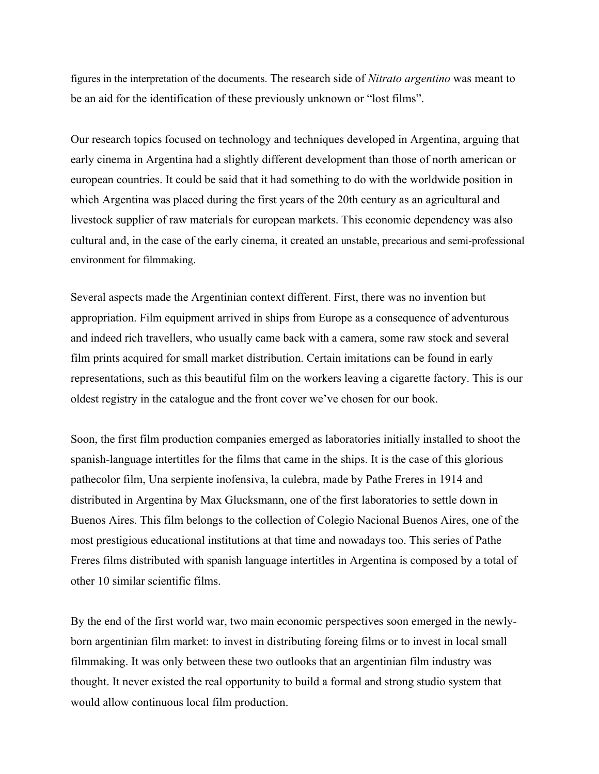figures in the interpretation of the documents. The research side of *Nitrato argentino* was meant to be an aid for the identification of these previously unknown or "lost films".

Our research topics focused on technology and techniques developed in Argentina, arguing that early cinema in Argentina had a slightly different development than those of north american or european countries. It could be said that it had something to do with the worldwide position in which Argentina was placed during the first years of the 20th century as an agricultural and livestock supplier of raw materials for european markets. This economic dependency was also cultural and, in the case of the early cinema, it created an unstable, precarious and semi-professional environment for filmmaking.

Several aspects made the Argentinian context different. First, there was no invention but appropriation. Film equipment arrived in ships from Europe as a consequence of adventurous and indeed rich travellers, who usually came back with a camera, some raw stock and several film prints acquired for small market distribution. Certain imitations can be found in early representations, such as this beautiful film on the workers leaving a cigarette factory. This is our oldest registry in the catalogue and the front cover we've chosen for our book.

Soon, the first film production companies emerged as laboratories initially installed to shoot the spanish-language intertitles for the films that came in the ships. It is the case of this glorious pathecolor film, Una serpiente inofensiva, la culebra, made by Pathe Freres in 1914 and distributed in Argentina by Max Glucksmann, one of the first laboratories to settle down in Buenos Aires. This film belongs to the collection of Colegio Nacional Buenos Aires, one of the most prestigious educational institutions at that time and nowadays too. This series of Pathe Freres films distributed with spanish language intertitles in Argentina is composed by a total of other 10 similar scientific films.

By the end of the first world war, two main economic perspectives soon emerged in the newlyborn argentinian film market: to invest in distributing foreing films or to invest in local small filmmaking. It was only between these two outlooks that an argentinian film industry was thought. It never existed the real opportunity to build a formal and strong studio system that would allow continuous local film production.